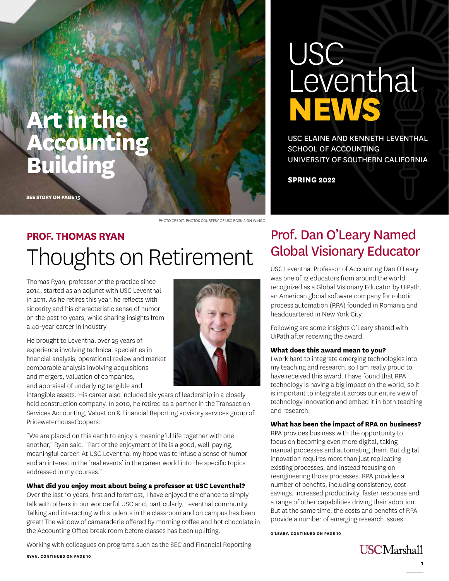# **Art in the Accounting Building**

**SEE STORY ON PAGE 15**

PHOTO CREDIT: PHOTOS COURTESY OF USC ROSKI/JON WINGO

# **PROF. THOMAS RYAN**  Thoughts on Retirement

Thomas Ryan, professor of the practice since 2014, started as an adjunct with USC Leventhal in 2011. As he retires this year, he reflects with sincerity and his characteristic sense of humor on the past 10 years, while sharing insights from a 40-year career in industry.

He brought to Leventhal over 25 years of experience involving technical specialties in financial analysis, operational review and market comparable analysis involving acquisitions and mergers, valuation of companies, and appraisal of underlying tangible and



intangible assets. His career also included six years of leadership in a closely held construction company. In 2010, he retired as a partner in the Transaction Services Accounting, Valuation & Financial Reporting advisory services group of PricewaterhouseCoopers.

"We are placed on this earth to enjoy a meaningful life together with one another," Ryan said. "Part of the enjoyment of life is a good, well-paying, meaningful career. At USC Leventhal my hope was to infuse a sense of humor and an interest in the 'real events' in the career world into the specific topics addressed in my courses."

### **What did you enjoy most about being a professor at USC Leventhal?**

Over the last 10 years, first and foremost, I have enjoyed the chance to simply talk with others in our wonderful USC and, particularly, Leventhal community. Talking and interacting with students in the classroom and on campus has been great! The window of camaraderie offered by morning coffee and hot chocolate in the Accounting Office break room before classes has been uplifting.

Working with colleagues on programs such as the SEC and Financial Reporting

**RYAN, CONTINUED ON PAGE 10**

# Leventhal **NEWS** USC ELAINE AND KENNETH LEVENTHAL SCHOOL OF ACCOUNTING UNIVERSITY OF SOUTHERN CALIFORNIA

**SPRING 2022**

USC

## Prof. Dan O'Leary Named Global Visionary Educator

USC Leventhal Professor of Accounting Dan O'Leary was one of 12 educators from around the world recognized as a Global Visionary Educator by UiPath, an American global software company for robotic process automation (RPA) founded in Romania and headquartered in New York City.

Following are some insights O'Leary shared with UiPath after receiving the award.

#### **What does this award mean to you?**

I work hard to integrate emerging technologies into my teaching and research, so I am really proud to have received this award. I have found that RPA technology is having a big impact on the world, so it is important to integrate it across our entire view of technology innovation and embed it in both teaching and research.

#### **What has been the impact of RPA on business?**

RPA provides business with the opportunity to focus on becoming even more digital, taking manual processes and automating them. But digital innovation requires more than just replicating existing processes, and instead focusing on reengineering those processes. RPA provides a number of benefits, including consistency, cost savings, increased productivity, faster response and a range of other capabilities driving their adoption. But at the same time, the costs and benefits of RPA provide a number of emerging research issues.

**O'LEARY, CONTINUED ON PAGE 10**

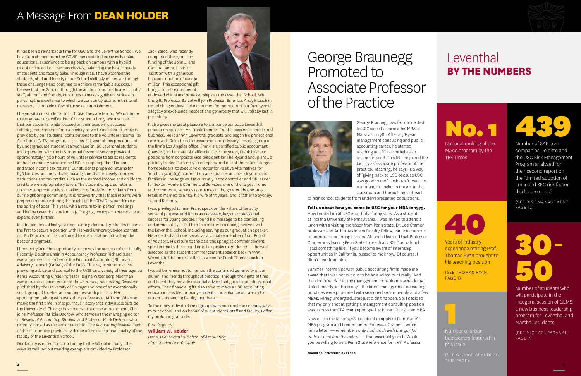# A Message From **DEAN HOLDER**

It has been a remarkable time for USC and the Leventhal School. We have transitioned from the COVID-necessitated exclusively online educational experience to being back on campus with a hybrid mix of online and on-campus classes, balancing the health needs of students and faculty alike. Through it all, I have watched the students, staff and faculty of our School skillfully maneuver through these challenges and continue to achieve remarkable success. I believe that the School, through the actions of our dedicated faculty, staff, alumni and friends, continues to make significant strides in pursuing the excellence to which we constantly aspire. In this brief message, I chronicle a few of these accomplishments.

I begin with our students. In a phrase, they are terrific. We continue to see greater diversification of our student body. We also see that our students, while focused on their academic success, exhibit great concerns for our society as well. One clear example is provided by our students' contributions to the Volunteer Income Tax Assistance (VITA) program. In the last full year of this program, led by undergraduate student Yeahwon Lee '21, 68 Leventhal students in cooperation with the U.S. Internal Revenue Service provided approximately 1,500 hours of volunteer service to assist residents in the community surrounding USC in preparing their Federal and State income tax returns. Our students prepared returns for 636 families and individuals, making sure that relatively complex deductions and tax credits such as the earned income and childcare credits were appropriately taken. The student-prepared returns obtained approximately \$1.1 million in refunds for individuals from our neighboring community. It is noteworthy that these returns were prepared remotely during the height of the COVID-19 pandemic in the spring of 2021. This year, with a return to in-person meetings and led by Leventhal student Jaja Tong '23, we expect this service to expand even further.

In addition, one of last year's accounting doctoral graduates became the first to secure a position with Harvard University, evidence that our Ph.D. program has continued to rise in stature, attracting the best and brightest.

It also gives me great pleasure to announce our 2022 Leventhal graduation speaker: Mr. Frank Thomas. Frank's passion is people and business. He is a 1999 Leventhal graduate and began his professional career with Deloitte in the assurance and advisory services group of the firm's Los Angeles office. Frank is a certified public accountant (inactive) in the state of California. Over the years, Frank has held positions from corporate vice president for The Ryland Group, Inc., a publicly traded Fortune 500 company and one of the nation's largest homebuilders, to executive director for Positive Alternatives for Youth, a 501(c)(3) nonprofit organization serving at-risk youth and families in Los Angeles. He currently is the controller and HR leader for Sexton Home & Commercial Services, one of the largest home and commercial services companies in the greater Phoenix area. Frank is married to Erika, his wife of 15 years, and is father to Sydney, 14, and Kellen, 7.

I frequently take the opportunity to convey the success of our faculty. Recently, Deloitte Chair in Accountancy Professor Richard Sloan was appointed a member of the Financial Accounting Standards Advisory Council (FASAC) of the FASB. This key position involves providing advice and counsel to the FASB on a variety of their agenda items. Accounting Circle Professor Regina Wittenberg-Moerman was appointed senior editor of the *Journal of Accounting Research*, published by the University of Chicago and one of an exceptionally small group of top-tier accounting research journals. Her appointment, along with two other professors at MIT and Wharton, marks the first time in that journal's history that individuals outside the University of Chicago have received such an appointment. She joins Professor Patricia Dechow, who serves as the managing editor of *Review of Accounting Studies*, and Professor Mark DeFond, who recently served as the senior editor for *The Accounting Review*. Each of these examples provides evidence of the exceptional quality of the faculty of the Leventhal School.

1<br>1<br>1<br>1 Number of urban beekeepers featured in this issue

Our faculty is noted for contributing to the School in many other ways as well. An outstanding example is provided by Professor

Jack Barcal who recently completed the \$3 million funding of the John J. and Carol A. Barcal Chair in Taxation with a generous final contribution of over \$1 million. This exceptional gift brings to 10 the number of



endowed chairs and professorships at the Leventhal School. With this gift, Professor Barcal will join Professor Emeritus Andy Mosich in establishing endowed chairs named for members of our faculty and a legacy of excellence, respect and generosity that will literally last in perpetuity.

> 30- **50**

I was privileged to hear Frank speak on the values of tenacity, sense of purpose and focus as necessary keys to professional success for young people. I found his message to be compelling and immediately asked him to consider becoming involved with the Leventhal School, including serving as our graduation speaker. He accepted and now serves as a valuable member of our Board of Advisors. His return to the dais this spring as commencement speaker marks the second time he speaks to graduates — he was selected as the student commencement speaker back in 1999. We couldn't be more thrilled to welcome Frank Thomas back to Leventhal.

I would be remiss not to mention the continued generosity of our alumni and friends throughout practice. Through their gifts of time and talent they provide essential advice that guides our educational efforts. Their financial gifts also serve to make a USC accounting education feasible for many students and enhance our ability to attract outstanding faculty members.

To the many individuals and groups who contribute in so many ways to our School, and on behalf of our students, staff and faculty, I offer my profound gratitude.

Best Regards,

### **William W. Holder**

*Dean, USC Leventhal School of Accounting Alan Casden Dean's Chair*

# Leventhal **BY THE NUMBERS**

# **No. 1**

National ranking of the MAcc program by the TFE Times



Years of industry experience retiring Prof. Thomas Ryan brought to his teaching position

(SEE THOMAS RYAN, PAGE 1)

# George Braunegg Promoted to Associate Professor of the Practice



George Braunegg has felt connected to USC since he earned his MBA at Marshall in 1981. After a 36-year management consulting and public accounting career, he started teaching at USC Leventhal as an adjunct in 2018. This fall, he joined the faculty as associate professor of the practice. Teaching, he says, is a way of "giving back to USC because USC was good to me." He looks forward to continuing to make an impact in the classroom and through his outreach

to high school students from underrepresented populations.

### **Tell us about how you came to USC for your MBA in 1979.**

How I ended up at USC is sort of a funny story. As a student at Indiana University of Pennsylvania, I was invited to attend a lunch with a visiting professor from Penn State. Dr. Joe Cramer, professor and Arthur Andersen Faculty Fellow, came to campus to promote accounting careers. At lunch I learned that Professor Cramer was leaving Penn State to teach at USC. During lunch I said something like, 'If you become aware of internship opportunities in California, please let me know.' Of course, I didn't hear from him.

(SEE GEORGE BRAUNEGG, **2 3**

Summer internships with public accounting firms made me aware that I was not cut out to be an auditor, but I really liked the kind of work that the management consultants were doing. Unfortunately, in those days, the firms' management consulting practices were populated with seasoned senior people and a few MBAs. Hiring undergraduates just didn't happen. So, I decided that my only shot at getting a management consulting position was to pass the CPA exam upon graduation and pursue an MBA.

Now cut to the fall of 1978. I decided to apply to Penn State's MBA program and I remembered Professor Cramer. I wrote him a letter — *remember I only had lunch with this guy for an hour nine months before* — that essentially said, 'Would you be willing to be a Penn State reference for me?' Professor



Number of students who will participate in the inaugural session of GEMS, a new business leadership program for Leventhal and Marshall students

(SEE MICHAEL PARANAL , PAGE 7)



Number of S&P 500 companies Deloitte and the USC Risk Management Program analyzed for their second report on the "limited adoption of amended SEC risk factor disclosure rules"

(SEE RISK MANAGEMENT, PAGE 12)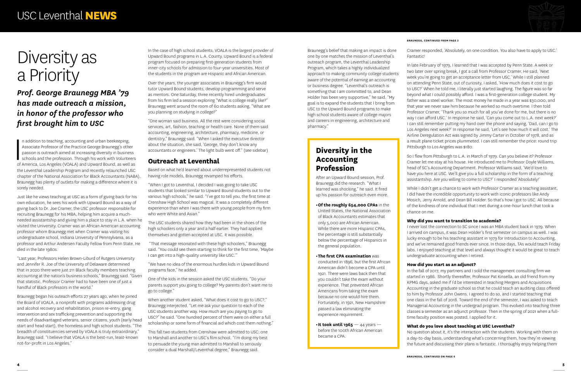# Diversity as a Priority

## *Prof. George Braunegg MBA '79 has made outreach a mission, in honor of the professor who first brought him to USC*

n addition to teaching, accounting and urban beekeeping,<br>Associate Professor of the Practice George Braunegg's other<br>passion is outreach aimed at increasing diversity in business<br>schools and the profession. Through his wor n addition to teaching, accounting and urban beekeeping, Associate Professor of the Practice George Braunegg's other passion is outreach aimed at increasing diversity in business schools and the profession. Through his work with Volunteers the Leventhal Leadership Program and recently relaunched USC chapter of the National Association for Black Accountants (NABA), Braunegg has plenty of outlets for making a difference where it is sorely needed.

Just like he views teaching at USC as a form of giving back for his own education, he sees his work with Upward Bound as a way of giving back to Dr. Joe Cramer, the USC professor responsible for recruiting Braunegg for his MBA, helping him acquire a muchneeded assistantship and giving him a place to stay in L.A. when he visited the University. Cramer was an African American accounting professor whom Braunegg met when Cramer was visiting his undergraduate school, Indiana University of Pennsylvania, as a professor and Arthur Andersen Faculty Fellow from Penn State. He died in the late 1980s.

"Last year, Professors Helen Brown-Liburd of Rutgers University and Jennifer R. Joe of the University of Delaware determined that in 2020 there were just 211 Black faculty members teaching accounting at the nation's business schools," Braunegg said. "Given that statistic, Professor Cramer had to have been one of just a handful of Black professors in the world."

Braunegg began his outeach efforts 27 years ago, when he joined the Board of VOALA, a nonprofit with programs addressing drug and alcohol recovery and rehabilitation, prison re-entry, gang intervention and sex trafficking prevention and supporting the needs of disadvantaged veterans, senior citizens, youth (early head start and head start), the homeless and high school students. "The breadth of constituencies served by VOALA is truly extraordinary," Braunegg said. "I believe that VOALA is the best-run, least-known not-for-profit in Los Angeles."

 "That message resonated with these high schoolers," Braunegg said. "You could see them starting to think for the first time, 'Maybe I can get into a high-quality university like USC."

When another student asked, "What does it cost to go to USC?," Braunegg interjected. "Let me ask your question to each of the USC students another way. How much are you paying to go to USC?" he said. "One hundred percent of them were on either a full scholarship or some form of financial aid which cost them nothing."

In the case of high school students, VOALA is the largest provider of Upward Bound programs in L.A. County. Upward Bound is a federal program focused on preparing first-generation students from inner-city schools for admission to four-year universities. Most of the students in the program are Hispanic and African American.

Over the years, the younger associates in Braunegg's firm would tutor Upward Bound students, develop programming and serve as mentors. One Saturday, three recently hired undergraduates from his firm led a session exploring "What is college really like?" Braunegg went around the room of 60 students asking, "What are you planning on studying in college?"

"One woman said business. All the rest were considering social services, art, fashion, teaching or health care. None of them said accounting, engineering, architecture, pharmacy, medicine, or dentistry," Braunegg said. "When I asked the executive director about the situation, she said, 'George, they don't know any accountants or engineers.' The light bulb went off." (see sidebar)

### **Outreach at Leventhal**

Based on what he'd learned about underrepresented students not having role models, Braunegg revamped his efforts.

> While I didn't get a chance to work with Professor Cramer as a teaching assistant, I did have the incredible opportunity to work with iconic professors like Andy Mosich, Jerry Arnold, and Dean Bill Holder. So that's how I got to USC. All because of the kindness of one individual that I met during a one-hour lunch that took a chance on me.

"When I got to Leventhal, I decided I was going to take USC students that looked similar to Upward Bound students out to the various high schools," he said. "I've got to tell you, the first time at Crenshaw High School was magical. It was a completely different experience than when I was there with young people from my firm who were White and Asian."

The USC students shared how they had been in the shoes of the high schoolers only a year and a half earlier. They had applied themselves and gotten accepted at USC. It was possible.

"We have no idea of the enormous hurdles kids in Upward Bound programs face," he added.

One of the kids in the session asked the USC students, "Do your parents support you going to college? My parents don't want me to go to college."

> $\cdot$ **It took until 1965** — 44 years before the 100th African American became a CPA.

This fall two students from Crenshaw were admitted to USC: one to Marshall and another to USC's film school. "I'm doing my best to persuade the young man admitted to Marshall to seriously consider a dual Marshall/Leventhal degree," Braunegg said.

Cramer responded, 'Absolutely, on one condition. You also have to apply to USC.'

Fantastic!

In late February of 1979, I learned that I was accepted by Penn State. A week or two later over spring break, I got a call from Professor Cramer. He said, 'Next week you're going to get an acceptance letter from USC.' While I still planned on attending Penn State, out of curiosity, I asked, 'How much does it cost to go to USC?' When he told me, I literally just started laughing. The figure was so far beyond what I could possibly afford. I was a first-generation college student. My father was a steel worker. The most money he made in a year was \$30,000, and that year we never saw him because he worked so much overtime. I then told Professor Cramer, 'Thank you so much for all you've done for me, but there is no way I can afford USC.' In response he said, 'Can you come out to L.A. next week?' I can still remember putting my hand over the phone and saying, 'Dad, can I go to Los Angeles next week?' In response he said, 'Let's see how much it will cost.' The Airline Deregulation Act was signed by Jimmy Carter in October of 1978, and as a result plane ticket prices plummeted. I can still remember the price: round trip Pittsburgh to Los Angeles was \$180.

So I flew from Pittsburgh to L.A. in March of 1979. Can you believe it? Professor Cramer let me stay at his house. He introduced me to Professor Doyle Williams, head of SC's Accounting Department. Professor Williams said, 'We'd love to have you here at USC. We'll give you a full scholarship in the form of a teaching assistantship. Are you willing to come to USC?' I responded 'Absolutely!'

### **Why did you want to transition to academia?**

I never lost the connection to SC since I was an MBA student back in 1979. When I arrived on campus, it was Dean Holder's first semester on campus as well. I was lucky enough to be his teaching assistant in 1979 for Introduction to Accounting, and we've remained good friends ever since. In those days, TAs would teach Friday labs. I enjoyed teaching at that level and always thought it would be great to teach undergraduate accounting when I retired.

### **How did you start as an adjunct?**

In the fall of 2017, my partners and I sold the management consulting firm we started in 1986. Shortly thereafter, Professor Pat Kinsella, an old friend from my KPMG days, asked me if I'd be interested in teaching Mergers and Acquisitions Accounting in the graduate school so that he could teach an auditing class offered to him by Professor John Owens. I agreed to do so, and I started teaching that one class in the fall of 2018. Toward the end of the semester, I was asked to teach Managerial Accounting in the undergrad program. This evolved into teaching three classes a semester as an adjunct professor. Then in the spring of 2021 when a fulltime faculty position was posted, I applied for it.

### **What do you love about teaching at USC Leventhal?**

No question about it, it's the interaction with the students. Working with them on a day-to-day basis, understanding what's concerning them, how they're viewing the future and discussing their plans is fantastic. I thoroughly enjoy helping them



### **Diversity in the Accounting Profession**

After an Upward Bound session, Prof. Braunegg did the research. "What I learned was shocking," he said. It fired up his passion for outreach even more.

#### **•Of the roughly 654,000 CPAs** in the United States, the National Association

of Black Accountants estimates that only 5,000 are African American. While there are more Hispanic CPAs, the percentage is still substantially below the percentage of Hispanics in the general population.

### **•The first CPA examination** was

conducted in 1896, but the first African American didn't become a CPA until 1921. There were laws back then that you couldn't take the exam without experience. That prevented African Americans from taking the exam because no one would hire them. Fortunately, in 1921, New Hampshire passed a law eliminating the experience requirement.

Braunegg's belief that making an impact is done one by one matches the mission of Leventhal's outreach program, the Leventhal Leadership Program, which takes a highly individualized approach to making community college students aware of the potential of earning an accounting or business degree. "Leventhal's outreach is something that I am committed to, and Dean Holder has been very supportive," he said. "My goal is to expand the students that I bring from USC to the Upward Bound programs to make high school students aware of college majors and careers in engineering, architecture and pharmacy."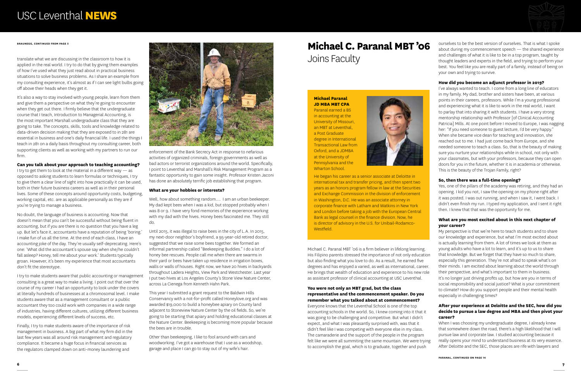translate what we are discussing in the classroom to how it is applied in the real world. I try to do that by giving them examples of how I've used what they just read about in practical business situations to solve business problems. As I share an example from my consulting experience, it's almost as if I can see light bulbs going off above their heads when they get it.

It's also a way to stay involved with young people, learn from them and give them a perspective on what they're going to encounter when they get out there. I firmly believe that the undergraduate course that I teach, Introduction to Managerial Accounting, is the most important Marshall undergraduate class that they are going to take. The concepts, skills, tools and knowledge related to data-driven decision making that they are exposed to in 281 are essential in business and one's daily financial life. I used the things I teach in 281 on a daily basis throughout my consulting career, both supporting clients as well as working with my partners to run our firm.

### **Can you talk about your approach to teaching accounting?**

I try to get them to look at the material in a different way — as opposed to asking students to learn formulas or techniques, I try to give them a clear line of sight into how practically it can be used, both in their future business careers as well as in their personal lives. Some of these concepts around opportunity costs, budgeting, working capital, etc. are as applicable personally as they are if you're trying to manage a business.

No doubt, the language of business is accounting. Now that doesn't mean that you can't be successful without being fluent in accounting, but if you are there is no question that you have a leg up. But let's face it, accountants have a reputation of being 'boring.' I make fun of us all the time. At the end of each class, I have an accounting joke of the day. They're usually self-deprecating. Here's one: 'What did the accountant's spouse say when she/he couldn't fall asleep? Honey, tell me about your work.' Students typically groan. However, it's been my experience that most accountants don't fit the stereotype.

I try to make students aware that public accounting or management consulting is a great way to make a living. I point out that over the course of my career I had an opportunity to look under the covers at literally hundreds of businesses at a chromosomal level. I make students aware that as a management consultant or a public accountant they too could work with companies in a wide range of industries, having different cultures, utilizing different business models, experiencing different levels of success, etc.

Finally, I try to make students aware of the importance of risk management in business. A big part of what my firm did in the last few years was all around risk management and regulatory compliance. It became a huge focus in financial services as the regulators clamped down on anti-money laundering and



enforcement of the Bank Secrecy Act in response to nefarious activities of organized criminals, foreign governments as well as bad actors or terrorist organizations around the world. Specifically, I point to Leventhal and Marshall's Risk Management Program as a fantastic opportunity to gain some insight. Professor Kristen Jaconi has done an absolutely terrific job establishing that program.

#### **What are your hobbies or interests?**

Well, how about something random…. I am an urban beekeeper. My dad kept bees when I was a kid, but stopped probably when I was 8 or 9. I have very fond memories of the experience working with my dad with the hives. Honey bees fascinated me. They still do.

Until 2015, it was illegal to raise bees in the city of L.A. In 2015, my next-door neighbor's boyfriend, a 95-year-old retired doctor, suggested that we raise some bees together. We formed an informal partnership called "Beekeeping Buddies." I do a lot of honey bee rescues. People call me when there are swarms in their yard or bees have taken up residence in irrigation boxes, walls or walls of houses. Right now, we have 20 hives in backyards throughout Ladera Heights, View Park and Westchester. Last year I put two hives at Los Angeles County's Stone View Nature Center, across La Cienega from Kenneth Hahn Park.

This year I submitted a grant request to the Baldwin Hills Conservancy with a not-for-profit called Honeylove.org and was awarded \$19,000 to build a honeybee apiary on County land adjacent to Stoneview Nature Center by the oil fields. So, we're going to be starting that apiary and holding educational classes at the Nature Center. Beekeeping is becoming more popular because the bees are in trouble.

Other than beekeeping, I like to fool around with cars and woodworking. I've got a warehouse that I use as a woodshop, garage and place I can go to stay out of my wife's hair.

# **Michael C. Paranal MBT '06**  Joins Faculty

Michael C. Paranal MBT '06 is a firm believer in lifelong learning. His Filipino parents stressed the importance of not only education but also finding what you love to do. As a result, he earned five degrees and has enjoyed a varied, as well as international, career. He brings that wealth of education and experience to his new role as assistant professor of clinical accounting at USC Leventhal.

### **You were not only an MBT grad, but the class representative and the commencement speaker. Do you remember what you talked about at commencement?**

Everyone knows that the Leventhal School is one of the top accounting schools in the world. So, I knew coming into it that it was going to be challenging and competitive. But what I didn't expect, and what I was pleasantly surprised with, was that it didn't feel like I was competing with everyone else in my class. The camaraderie and the support of the people in the program felt like we were all summiting the same mountain. We were trying to accomplish the goal, which is to graduate, together and push

ourselves to be the best version of ourselves. That is what I spoke about during my commencement speech — the shared experience and challenges of what it is like to be in a top program, taught by thought leaders and experts in the field, and trying to perform your best. You feel like you are really part of a family, instead of being on your own and trying to survive.

### **How did you become an adjunct professor in 2019?**

I've always wanted to teach. I come from a long line of educators in my family. My dad, brother and sisters have been, at various points in their careers, professors. While I'm a young professional and experiencing what it is like to work in the real world, I want to parlay that into sharing it with students. I have a very strong mentorship relationship with Professor [of Clinical Accounting Patricia] Mills. At one point before I moved to Europe, I was nagging her: "If you need someone to guest lecture, I'd be very happy." When she became vice dean for teaching and innovation, she reached out to me. I had just come back from Europe, and she needed someone to teach a class. So, that is the beauty of making sure you nurture your relationships while in school, not only with your classmates, but with your professors, because they can open doors for you in the future, whether it is in academia or otherwise. This is the beauty of the Trojan Family, right?

### **So, then there was a full-time opening?**

Yes, one of the pillars of the academy was retiring, and they had an opening. I kid you not, I saw the opening on my phone right after it was posted. I was out running, and when I saw it, I went back. I didn't even finish my run. I typed my application, and I sent it right then. I knew that that was the opportunity for me.

### **What are you most excited about in this next chapter of your career?**

My perspective is that we're here to teach students and to share our knowledge and experience, but what I'm most excited about is actually learning from them. A lot of times we look at them as young adults who have a lot to learn, and it's up to us to share that knowledge. But we forget that they have so much to share, especially this generation. They're not afraid to speak what's on their minds. I am excited about learning about the world through their perspective, and what's important to them in business. It's no longer just driving profits up, but how are you in terms of social responsibility and social justice? What is your commitment to climate? How do you support people and their mental health especially in challenging times?

### **After your experience at Deloitte and the SEC, how did you decide to pursue a law degree and MBA and then pivot your career?**

When I was choosing my undergraduate degree, I already knew that somewhere down the road, there's a high likelihood that I will pursue law and corporate law. I studied accounting because it really opens your mind to understand business at its very essence. After Deloitte and the SEC, those places are rife with lawyers and

#### **BRAUNEGG, CONTINUED FROM PAGE 5**

**Michael Paranal JD MBA MBT CPA**

Paranal earned a BS in accounting at the University of Missouri, an MBT at Leventhal, a Post Graduate degree in International Transactional Law from Oxford, and a JDMBA at the University of Pennsylvania and the Wharton School.



He began his career as a senior associate at Deloitte in international tax and transfer pricing, and then spent two years as an honors program fellow in law at the Securities and Exchange Commission in the division of enforcement in Washington, D.C. He was an associate attorney in corporate finance with Latham and Watkins in New York and London before taking a job with the European Central Bank as legal counsel in the finance division. Now, he is director of advisory in the U.S. for Unibail-Rodamco-Westfield.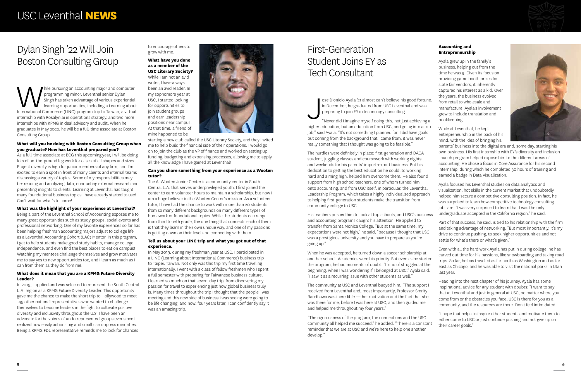# First-Generation Student Joins EY as Tech Consultant

ose Dionicio Ayala '21 almost can't believe his good fortune. In December, he graduated from USC Leventhal and was preparing to join EY in technology consulting.

J "Never did I imagine myself doing this, not just achieving a higher education, but an education from USC, and going into a top job," said Ayala. "It's not something I planned for. I did have goals but coming from the background that I came from, it was never really something that I thought was going to be feasible."

The hurdles were definitely in place: first-generation and DACA student, juggling classes and coursework with working nights and weekends for his parents' import-export business. But his dedication to getting the best education he could, to working hard and aiming high, helped him overcome them. He also found support from high school teachers, one of whom turned him onto accounting, and from USC itself, in particular, the Leventhal Leadership Program, which takes a highly individualized approach to helping first-generation students make the transition from community college to USC. Launch program helped expose him to the different areas of accounting. He chose a focus in Core Assurance for his second internship, during which he completed 30 hours of training and earned a badge in Data Visualization. Ayala focused his Leventhal studies on data analytics and visualization, hot skills in the current market that undoubtedly helped him secure a competitive consulting position. In fact, he was surprised to learn how competitive technology consulting jobs are. "I was very surprised to learn that I was the only undergraduate accepted in the California region," he said.

### **Accounting and Entrepreneurship**

Ayala grew up in the family's business, helping out from the time he was 9. Given its focus on providing game booth prizes for state fair vendors, it inherently captured his interest as a kid. Over the years, the business evolved

His teachers pushed him to look at top schools, and USC's business and accounting programs caught his attention. He applied to transfer from Santa Monica College. "But at the same time, my expectations were not high," he said, "because I thought that USC was a prestigious university and you have to prepare as you're going up." Part of that success, he said, is tied to his relationship with the firm and taking advantage of networking. "But most importantly, it's my drive to continue pushing, to seek higher opportunities and not settle for what's there or what's given."

While pursuing an accounting major and computer programming minor, Leventhal senior Dylan Singh has taken advantage of various experiential learning opportunities, including a Learning about International Commerce (LINC) p programming minor, Leventhal senior Dylan Singh has taken advantage of various experiential learning opportunities, including a Learning about internship with Rosalyn.ai in operations strategy, and two more internships with KPMG in deal advisory and audit. When he graduates in May 2022, he will be a full-time associate at Boston Consulting Group.

- from retail to wholesale and manufacture. Ayala's involvement grew to include translation and bookkeeping.
- While at Leventhal, he kept entrepreneurship in the back of his mind, with the idea of bringing his



When he was accepted, he turned down a soccer scholarship at another school. Academics were his priority. But even as he started the program, he had moments of doubt. "I kind of struggled at the beginning, when I was wondering if I belonged at USC," Ayala said. "I saw it as a recurring issue with other students as well." Even with all the hard work Ayala has put in during college, he has carved out time for his passions, like snowboarding and taking road trips. So far, he has traveled as far north as Washington and as far east as Chicago, and he was able to visit the national parks in Utah last year.

parents' business into the digital era and, some day, starting his own business. His first internship with EY's diversity and inclusion

The community at USC and Leventhal buoyed him. "The support I received from Leventhal and, most importantly, Professor Smrity Randhawa was incredible — her motivation and the fact that she was there for me, before I was here at USC, and then guided me and helped me throughout my four years." Heading into the next chapter of his journey, Ayala has some inspirational advice for any student with doubts: "I want to say that at Leventhal and just in general at USC, no matter where you come from or the obstacles you face, USC is there for you as a community, and the resources are there. Don't feel intimidated.

"The rigorousness of the program, the connections and the USC community all helped me succeed," he added. "There is a constant reminder that we are at USC and we're here to help one another develop." "I hope that helps to inspire other students and motivate them to either come to USC or just continue pushing and not give up on their career goals."

# Dylan Singh '22 Will Join Boston Consulting Group

### **What will you be doing with Boston Consulting Group when you graduate? How has Leventhal prepared you?**

As a full-time associate at BCG this upcoming year, I will be doing lots of on-the-ground leg work for cases of all shapes and sizes. Project diversity is high for junior members of any firm, and I'm excited to earn a spot in front of many clients and internal teams discussing a variety of topics. Some of my responsibilities may be: reading and analyzing data, conducting external research and presenting insights to clients. Learning at Leventhal has taught many foundational business topics I have already started to use! Can't wait for what's to come!

### **What was the highlight of your experience at Leventhal?**

Being a part of the Leventhal School of Accounting exposes me to many great opportunities such as study groups, social events and professional networking. One of my favorite experiences so far has been helping freshman accounting majors adjust to college life as a Leventhal Accounting Cohort (LAC) Mentor. In this program, I get to help students make good study habits, manage college independence, and even find the best places to eat on campus! Watching my mentees challenge themselves and grow motivates me to say yes to new opportunities too, and I learn as much as I can from them as they do from me.

### **What does it mean that you are a KPMG Future Diversity Leader?**

In 2019, I applied and was selected to represent the South Central L.A. region as a KPMG Future Diversity Leader. This opportunity gave me the chance to make the short trip to Hollywood to meet 149 other national representatives who wanted to challenge themselves to become leaders in the fight to cultivate positive diversity and inclusivity throughout the U.S. I have been an advocate for the voices of underrepresented groups ever since I realized how easily actions big and small can oppress minorities. Being a KPMG FDL representative reminds me to look for chances

to encourage others to grow with me.

### **What have you done as a member of the USC Literary Society?**

While I am not an avid writer, I have always been an avid reader. In my sophomore year at USC, I started looking for opportunities to join student groups and earn leadership positions near campus. At that time, a friend of mine happened to be



starting a new club called the USC Literary Society, and they invited me to help build the financial side of their operations. I would go on to join the club as the VP of finance and worked on setting up funding, budgeting and expensing processes, allowing me to apply all the knowledge I have gained at Leventhal!

### **Can you share something from your experience as a Wooten tutor?**

The Al Wooten Junior Center is a community center in South Central L.A. that serves underprivileged youth. I first joined the center to earn volunteer hours to maintain a scholarship, but now I am a huge believer in the Wooten Center's mission. As a volunteer tutor, I have had the chance to work with more than 20 students from so many different backgrounds on many different types of homework or foundational topics. While the students can range from third to 12th grade, the one thing that connects each of them is that they learn in their own unique way, and one of my passions is getting down on their level and connecting with them.

### **Tell us about your LINC trip and what you got out of that experience.**

In May 2019, during my freshman year at USC, I participated in a LINC (Learning about International Commerce) business trip to Taipei, Taiwan. Not only was this trip my first time traveling internationally, I went with a class of fellow freshmen who I spent a full semester with preparing for Taiwanese business culture. I learned so much on that seven-day trip, from discovering my passion for travel to experiencing just how global business truly is. Many times throughout the trip I thought that the people I was meeting and this new side of business I was seeing were going to be life changing, and now, four years later, I can confidently say it was an amazing trip.

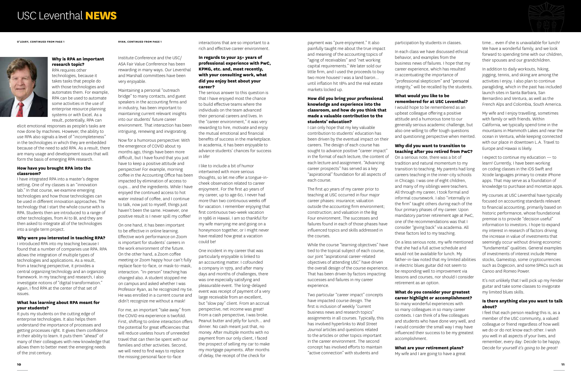#### **Why is RPA an important research topic?**

RPA requires other technologies, because it takes tasks that people do with those technologies and automates them. For example, RPA can be used to automate some activities in the use of enterprise resource planning systems or with Excel. As a result, potentially, RPA can

elicit emotional responses as people's tasks are now done by machines. However, the ability to use RPA also signals a level of "incompleteness" in the technologies in which they are embedded because of the need to add RPA. As a result, there are many usage and development issues that will form the basis of emerging RPA research.

#### **How have you brought RPA into the classroom?**

I have integrated RPA into a master's degree setting. One of my classes is an "innovation lab." In that course, we examine emerging technologies and how those technologies can be used in different innovation approaches. The technology that I start the whole course with is RPA. Students then are introduced to a range of other technologies, from AI to BI, and they are then asked to integrate all of the technologies into a single term project.

### **Why were you interested in teaching RPA?**

I introduced RPA into my teaching because I found that a number of companies use RPA. RPA allows the integration of multiple types of technologies and applications. As a result, from a teaching perspective, it provides a central organizing technology and an organizing framework. In my teaching and research, I also investigate notions of "digital transformation." Again, I find RPA at the center of that set of issues.

### **What has learning about RPA meant for your students?**

It puts my students on the cutting edge of enterprise technologies. It also helps them understand the importance of processes and getting processes right. It gives them confidence in their ability to learn. It puts them "ahead" of many of their colleagues with new knowledge that allows them to better meet the emerging needs of the 21st century.

**O'LEARY, CONTINUED FROM PAGE 1**



Institute Conference and the USC/ ASA Fair Value Conference has been rewarding in many ways. Our Leventhal and Marshall committees have been very enjoyable.

Maintaining a personal "outreach bridge" to many contacts, and guest speakers in the accounting firms and in industry, has been important to maintaining current relevant insights into our students' future career environment. That interaction has been intriguing, renewing and invigorating.

Now for a humorous perspective: With the emergence of COVID about 19 months ago, things have been more difficult, but I have found that you just have to keep a positive attitude and perspective! For example, morning coffee in the Accounting Office has been impacted by elimination of access to cups… and the ingredients. While I have enjoyed the continued access to hot water instead of coffee, and I continue to talk, now just to myself, things just haven't been the same. However, one positive result is I never spill my coffee!

On one hand, it has been important to be effective in online learning. Effective work performance on Zoom is important for students' careers in the work environment of the future. On the other hand, a Zoom coffee meeting or Zoom happy hour can't fully replace face-to-face, or mask-to-mask, interaction. "In-person" teaching has changed also. A student stopped me on campus and asked whether I was Professor Ryan, as he recognized my tie. He was enrolled in a current course and didn't recognize me without a mask!

For me, an important "take away" from the COVID era experience is twofold. First, shifting to online interaction offers the potential for great efficiencies that will reduce useless hours of unneeded travel that can then be spent with our families and other activities. Second, we will need to find ways to replace the missing personal face-to-face

interactions that are so important to a rich and effective career environment.

### **In regards to your 25+ years of professional experience with PwC, KPMG, etc. and, most recently, with your consulting work, what did you enjoy best about your career?**

The serious answer to this question is that I have enjoyed most the chance to build effective teams where the individuals on the team advanced their personal careers and lives. In the "career environment," it was very rewarding to hire, motivate and enjoy the mutual emotional and financial benefits of success in the marketplace. In academia, it has been enjoyable to advance students' chances for success in life!

I like to include a bit of humor intertwined with more serious thoughts, so let me offer a tongue-incheek observation related to career enjoyment. For the first 40 years of my career, up to age 60, I never had more than two continuous weeks off for vacation. I remember enjoying that first continuous two-week vacation in 1986 in Hawaii. I am so thankful for my wife marrying me and going on a honeymoon together, or I might never have realized how great a vacation could be!

One incident in my career that was particularly enjoyable is linked to an accounting matter. I cofounded a company in 1979, and after many days and months of challenges, there was one especially satisfying and pleasurable event. The long-delayed event was receipt of payment of a very large receivable from an excellent, but "slow pay" client. From an accrual perspective, net income was great! From a cash perspective, I was broke. Peanut butter and jelly for lunch… and dinner. No cash meant just that, no money. After multiple months with no payment from our only client, I faced the prospect of selling my car to make my mortgage payments. After months of delay, the receipt of the check for

payment was "pure enjoyment." It also painfully taught me about the true impact and meaning of the accounting topics of "aging of receivables" and "net working capital requirements." We later sold our little firm, and I used the proceeds to buy two more houses! I was a land baron... until inflation hit 18% and the real estate markets locked up.

### **How did you bring your professional knowledge and experience into the classroom, and how do you think that made a valuable contribution to the students' education?**

I can only hope that my key valuable contribution to students' education has been driven by the eventual impact on their careers. The design of each course has sought to advance positive "career impact" in the format of each lecture, the content of each lecture and assignment. "Advancing career prospects" has served as a key "aspirational" foundation for all aspects of each course.

The first 40 years of my career prior to teaching at USC occurred in four major career phases: insurance; valuation outside the accounting firm environment; construction; and valuation in the Big Four environment. The successes and failures found in each of those phases have influenced topics and skills addressed in the courses.

While the course "learning objectives" have tied to the topical subject of each course, our joint "aspirational career-related objectives of attending USC" have driven the overall design of the course experience. That has been driven by factors impacting successes and failures in my career experience.

Two particular "career impact" concepts have impacted course design. The first is inclusion of weekly "current business news and research topics" assignments in all courses. Typically, this has involved hyperlinks to *Wall Street Journal* articles and questions related to the articles or other topics important in the career environment. The second concept has involved efforts to maintain "active connection" with students and

participation by students in classes.

In each class we have discussed ethical behavior, and examples from the business news of failures. I hope that my career experience, which has resulted in accentuating the importance of "professional skepticism" and "personal integrity," will be recalled by the students.

### **What would you like to be remembered for at USC Leventhal?**

I would hope to be remembered as an upbeat colleague offering a positive attitude and a humorous tone to our generally serious academic challenge, but also one willing to offer tough questions and questioning perspective when merited.

### **Why did you want to transition to teaching after you retired from PwC?**

On a serious note, there was a bit of tradition and natural momentum to my transition to teaching. My parents had long careers teaching in the inner-city schools in Chicago. I was one of eight children, and many of my siblings were teachers. All through my career, I took formal and informal coursework. I also "internally in the firm" taught others during each of the four primary phases of my career. Upon mandatory partner retirement age at PwC, one of the recommendations was that I consider "giving back" via academia. All these factors led to my teaching.

On a less serious note, my wife mentioned that she had a full active schedule and would not be available for lunch. My father-in-law noted that my limited abilities in electric blues guitar did not seem to be responding well to improvement via lessons and courses, nor should I consider retirement as an option.

### **What do you consider your greatest career highlight or accomplishment?**

So many wonderful experiences with so many colleagues in so many career contexts. I can think of a few colleagues and students who have done very well, and I would consider the small way I may have influenced their success to be my greatest accomplishment.

### **What are your retirement plans?**

My wife and I are going to have a great

time… even if she is unavailable for lunch! We have a wonderful family, and we look forward to spending time with our children, their spouses and our grandchildren.

In addition to daily workouts, hiking, jogging, tennis, and skiing are among the activities I enjoy. I also plan to continue paragliding, which in the past has included launch sites in Santa Barbara, San Bernardino and Ventura, as well as the French Alps and Colombia, South America.

My wife and I enjoy travelling, sometimes with family or with friends. Within California, we typically spend time in the mountains in Mammoth Lakes and near the ocean in Ventura, while keeping connected with our place in downtown L.A. Travel to Europe and Hawaii is likely.

I expect to continue my education — to learn! Currently, I have been working on coding classes in the iOS Swift and Xcode languages primary to create iPhone apps. That may serve as a foundation of knowledge to purchase and monetize apps.

My courses at USC Leventhal have typically focused on accounting standards relevant to financial accounting, primarily based on historic performance, whose foundational premise is to provide "decision useful" information to investors. I hope to expand my interest in research of factors driving the increase in value of investments that seemingly occur without driving economic "fundamental" qualities. General examples of investments of interest include Meme stocks, Gamestop, some cryptocurrencies such as Dogecoin, and some SPACs such as Canoo and Romeo Power.

It's not unlikely that I will pick up my Fender guitar and take some classes to invigorate my limited blues skills.

### **Is there anything else you want to talk about?**

I feel that each person reading this is, as a member of the USC community, a valued colleague or friend regardless of how well we do or do not know each other. I wish you well in all aspects of your lives, and remember, every day: Decide to be happy. Decide for yourself *it's going to be great!*

**RYAN, CONTINUED FROM PAGE 1**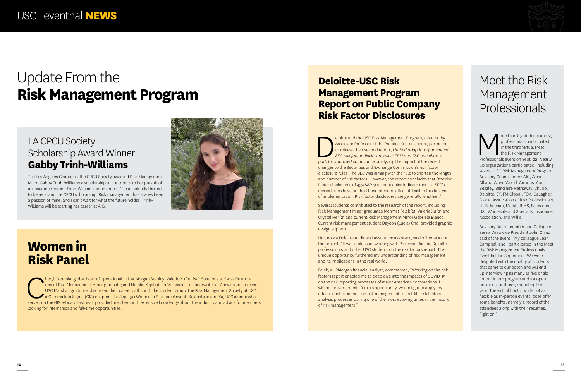# **Women in Risk Panel**

heryl Geremia, global head of operational risk at Morgan Stanley; Valerie Xu '21, P&C Solutions at Swiss Re and a recent Risk Management Minor graduate; and Natalie Kojababian '21, associate underwriter at Amwins and a recent USC Marshall graduate, discussed their career paths with the student group, the Risk Management Society at USC, a Gamma Iota Sigma (GIS) chapter, at a Sept. 30 Women in Risk panel event. Kojababian and Xu, USC alumni who served on the GIS e-board last year, provided members with extensive knowledge about the industry and advice for members looking for internships and full-time opportunities.

## LA CPCU Society Scholarship Award Winner **Gabby Trinh-Williams**

The Los Angeles Chapter of the CPCU Society awarded Risk Management Minor Gabby Trinh-Williams a scholarship to contribute to her pursuit of an insurance career. Trinh-Williams commented, "I'm absolutely thrilled to be receiving the CPCU scholarship! Risk management has always been a passion of mine, and I can't wait for what the future holds!" Trinh-Williams will be starting her career at AIG.



eloitte and the USC Risk Management Program, directed by<br>Associate Professor of the Practice Kristen Jaconi, partnered<br>to release their second report, Limited adoption of amende<br>sec risk factor disclosure rules: ERM and ES Associate Professor of the Practice Kristen Jaconi, partnered to release their second report, *Limited adoption of amended SEC risk factor disclosure rules: ERM and ESG can chart a path for improved compliance*, analyzing the impact of the recent changes to the Securities and Exchange Commission's risk factor disclosure rules. The SEC was aiming with the rule to shorten the length and number of risk factors. However, the report concludes that "the risk factor disclosures of 439 S&P 500 companies indicate that the SEC's revised rules have not had their intended effect at least in this first year of implementation. Risk factor disclosures are generally lengthier."

# **Deloitte-USC Risk Management Program Report on Public Company Risk Factor Disclosures**

ore than 85 students and 75<br>
professionals participated<br>
in the third virtual Meet<br>
Professionals event on Sept. 22. Nearly professionals participated in the third virtual Meet the Risk Management 40 organizations participated, including several USC Risk Management Program Advisory Council firms: AIG, Alliant, Allianz, Allied World, Amwins, Aon, Beazley, Berkshire Hathaway, Chubb, Deloitte, EY, FM Global, FOX, Gallagher, Global Association of Risk Professionals, HUB, Keenan, Marsh, RIMS, Salesforce, USI, Wholesale and Specialty Insurance Association, and Willis.

Several students contributed to the research of the report, including Risk Management Minor graduates Mehmet Felek '21, Valerie Xu '21 and Crystal Her '21 and current Risk Management Minor Gabriela Blanco. Current risk management student Dayeon (Lucia) Choi provided graphic design support.

Her, now a Deloitte Audit and Assurance assistant, said of her work on the project, "It was a pleasure working with Professor Jaconi, Deloitte professionals and other USC students on the risk factors report. This unique opportunity furthered my understanding of risk management and its implications in the real world."

Felek, a JPMorgan financial analyst, commented, "Working on the risk factors report enabled me to deep dive into the impacts of COVID-19 on the risk-reporting processes of major American corporations. I will be forever grateful for this opportunity, where I got to apply my educational experience in risk management to real-life risk factors analysis processes during one of the most evolving times in the history of risk management."



# Meet the Risk Management Professionals

Advisory Board member and Gallagher Senior Area Vice President John Chino said of the event, "My colleague Jean Campbell and I participated in the Meet the Risk Management Professionals Event held in September. We were delighted with the quality of students that came to our booth and will end up interviewing as many as five or six for our intern program and for open positions for those graduating this year. The virtual booth, while not as flexible as in-person events, does offer some benefits, namely a record of the attendees along with their resumes. Fight on!"

# Update From the **Risk Management Program**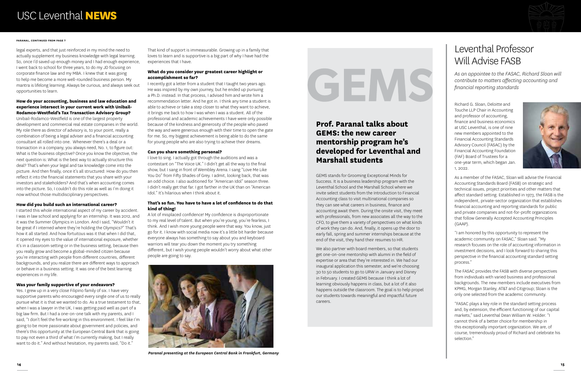# Leventhal Professor Will Advise FASB

*As an appointee to the FASAC, Richard Sloan will contribute to matters affecting accounting and financial reporting standards*

Richard G. Sloan, Deloitte and Touche LLP Chair in Accounting and professor of accounting, finance and business economics at USC Leventhal, is one of nine new members appointed to the Financial Accounting Standards Advisory Council (FASAC) by the Financial Accounting Foundation (FAF) Board of Trustees for a one-year term, which began Jan. 1, 2022.



As a member of the FASAC, Sloan will advise the Financial Accounting Standards Board (FASB) on strategic and technical issues, project priorities and other matters that affect standard setting. Established in 1973, the FASB is the independent, private-sector organization that establishes financial accounting and reporting standards for public and private companies and not-for-profit organizations that follow Generally Accepted Accounting Principles (GAAP).

"I am honored by this opportunity to represent the academic community on FASAC," Sloan said. "My research focuses on the role of accounting information in investment decisions, and I look forward to sharing this perspective in the financial accounting standard setting process."

The FASAC provides the FASB with diverse perspectives from individuals with varied business and professional backgrounds. The new members include executives from KPMG, Morgan Stanley, AT&T and Citigroup; Sloan is the only one selected from the academic community.

"FASAC plays a key role in the standard setting process and, by extension, the efficient functioning of our capital markets," said Leventhal Dean William W. Holder. "I cannot think of a better choice for membership in this exceptionally important organization. We are, of course, tremendously proud of Richard and celebrate his selection."

legal experts, and that just reinforced in my mind the need to actually supplement my business knowledge with legal learning. So, once I'd saved up enough money and I had enough experience, I went back to school for three years, to do my JD focusing on corporate finance law and my MBA. I knew that it was going to help me become a more well-rounded business person. My mantra is lifelong learning. Always be curious, and always seek out opportunities to learn.

### **How do your accounting, business and law education and experience intersect in your current work with Unibail-Rodamco-Westfield's Tax Transaction Advisory Group?**

Unibail-Rodamco-Westfield is one of the largest property development and commercial real estate companies in the world. My role there as director of advisory is, to your point, really a combination of being a legal adviser and a financial accounting consultant all rolled into one. Whenever there's a deal or a transaction in a company, you always need, No. 1, to figure out: What is the business objective? Once you know the objective, the next question is: What is the best way to actually structure this deal? That's when your legal and tax knowledge come into the picture. And then finally, once it's all structured: How do you then reflect it into the financial statements that you share with your investors and stakeholders? And that's when accounting comes into the picture. So, I couldn't do this role as well as I'm doing it now without those multidisciplinary perspectives.

### **How did you build such an international career?**

I started this whole international aspect of my career by accident. I was in law school and applying for an internship. It was 2012, and it was the Summer Olympics in London. And I said, "Wouldn't it be great if I interned where they're holding the Olympics?" That's how it all started. And how fortuitous was it that when I did that, it opened my eyes to the value of international exposure, whether it's in a classroom setting or in the business setting, because then you really grow and become a global-minded citizen because you're interacting with people from different countries, different backgrounds, and you realize there are different ways to approach or behave in a business setting. It was one of the best learning experiences in my life.

### **Was your family supportive of your endeavors?**

Yes. I grew up in a very close Filipino family of six. I have very supportive parents who encouraged every single one of us to really pursue what it is that we wanted to do. As a true testament to that, when I was a lawyer in the UK, I was getting paid well as part of a big law firm. But I had a one-on-one talk with my parents, and I said, "I don't feel the fire working in this environment. I feel like I'm going to be more passionate about government and policies, and there's this opportunity at the European Central Bank that is going to pay not even a third of what I'm currently making, but I really want to do it." And without hesitation, my parents said, "Do it."

That kind of support is immeasurable. Growing up in a family that loves to learn and is supportive is a big part of why I have had the experiences that I have.

### **What do you consider your greatest career highlight or accomplishment so far?**

I recently got a letter from a student that I taught two years ago. He was inspired by my own journey, but he ended up pursuing a Ph.D. instead. In that process, I advised him and wrote him a recommendation letter. And he got in. I think any time a student is able to achieve or take a step closer to what they want to achieve, it brings me back to how I was when I was a student. All of the professional and academic achievements I have were only possible because of the kindness and generosity of the people who paved the way and were generous enough with their time to open the gate for me. So, my biggest achievement is being able to do the same for young people who are also trying to achieve their dreams.

#### **Can you share something personal?**

I love to sing. I actually got through the auditions and was a contestant on "The Voice UK." I didn't get all the way to the final show, but I sang in front of Wembley Arena. I sang "Love Me Like You Do" from Fifty Shades of Grey. I admit, looking back, that was an odd choice. I also auditioned for "American Idol" season three. I didn't really get that far. I got farther in the UK than on "American Idol." It's hilarious when I think about it.

### **That's so fun. You have to have a lot of confidence to do that kind of thing!**

A lot of misplaced confidence! My confidence is disproportionate to my real level of talent. But when you're young, you're fearless, I think. And I wish more young people were that way. You know, just go for it. I know with social media now it's a little bit harder because everyone always has something to say about you and keyboard warriors will tear you down the moment you try something different, but I wish young people wouldn't worry about what other people are going to say.

#### **PARANAL, CONTINUED FROM PAGE 7**

### **Prof. Paranal talks about GEMS: the new career mentorship program he's developed for Leventhal and Marshall students**

GEMS stands for Grooming Exceptional Minds for Success. It is a business leadership program with the Leventhal School and the Marshall School where we invite select students from the Introduction to Financial Accounting class to visit multinational companies so they can see what careers in business, finance and accounting await them. During the onsite visit, they meet with professionals, from new associates all the way to the CFO, to give them a variety of perspectives on what kinds of work they can do. And, finally, it opens up the door to early fall, spring and summer internships because at the end of the visit, they hand their resumes to HR.

We also partner with board members, so that students get one-on-one mentorship with alumni in the field of expertise or area that they're interested in. We had our inaugural application this semester, and we're choosing 30 to 50 students to go to URW in January and Disney in February. I created GEMS because I think a lot of learning obviously happens in class, but a lot of it also happens outside the classroom. The goal is to help propel our students towards meaningful and impactful future careers.



*Paranal presenting at the European Central Bank in Frankfurt, Germany*



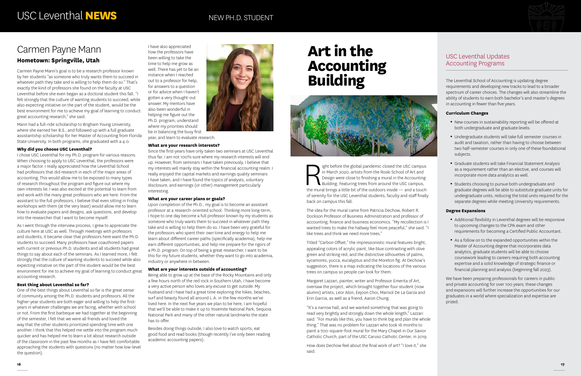ight before the global pandemic closed the USC campus<br>in March 2020, artists from the Roski School of Art and<br>Design were close to finishing a mural in the Accounting<br>Building. Featuring trees from around the USC campus,<br>t in March 2020, artists from the Roski School of Art and Design were close to finishing a mural in the Accounting Building. Featuring trees from around the USC campus, the mural brings a little bit of the outdoors inside — and a touch of serenity for the USC Leventhal students, faculty and staff finally back on campus this fall.

The idea for the mural came from Patricia Dechow, Robert R. Dockson Professor of Business Administration and professor of accounting, finance and business economics. "My recollection is I wanted trees to make the hallway feel more peaceful," she said. "I like trees and think we need more trees."

Titled "Carbon Offset," the impressionistic mural features bright, appealing colors of acrylic paint, like blue contrasting with olive green and striking red, and the distinctive silhouettes of palms, sycamores, yucca, eucalyptus and the Moreton fig. At Dechow's suggestion, there is a map indicating the locations of the various trees on campus so people can look for them.

Margaret Lazzari, painter, writer and Professor Emerita of Art, oversaw the project, which brought together four student (now alumni) artists, Leor Alon, Eejoon Choi, Marisol De La Garza and Erin Garcia, as well as a friend, Aaron Chung.

- New courses in sustainability reporting will be offered at both undergraduate and graduate levels.
- • Undergraduate students will take full semester courses in audit and taxation, rather than having to choose between two half-semester courses in only one of these foundational subjects.
- Graduate students will take Financial Statement Analysis as a requirement rather than an elective, and courses will incorporate more data analytics as well.
- Students choosing to pursue both undergraduate and graduate degrees will be able to substitute graduate units for undergraduate units, reducing the total units required for the separate degrees while meeting University requirements.

"It's a narrow hall, and we wanted something that was going to read very brightly and strongly down the whole length," Lazzari said. "For murals like this, you have to think big and plan the whole thing." That was no problem for Lazzari who took 16 months to paint a 700-square-foot mural for the Mary Chapel in Our Savior Catholic Church, part of the USC Caruso Catholic Center, in 2019.

- Additional flexibility in Leventhal degrees will be responsive to upcoming changes to the CPA exam and other requirements for becoming a Certified Public Accountant.
- As a follow on to the expanded opportunities within the Master of Accounting degree that incorporates data analytics, graduate students will be able to choose coursework leading to careers requiring both accounting expertise and a solid knowledge of strategic finance or financial planning and analysis (beginning fall 2023).

How does Dechow feel about the final work of art? "I love it," she said.



### USC Leventhal Updates Accounting Programs

The Leventhal School of Accounting is updating degree requirements and developing new tracks to lead to a broader spectrum of career choices. The changes will also streamline the ability of students to earn both bachelor's and master's degrees in accounting in fewer than five years.

### **Curriculum Changes**

### **Degree Expansions**

We have been preparing professionals for careers in public and private accounting for over 100 years; these changes and expansions will further increase the opportunities for our graduates in a world where specialization and expertise are prized.

# **Art in the Accounting Building**



## Carmen Payne Mann **Hometown: Springville, Utah**

Carmen Payne Mann's goal is to be a research professor known by her students "as someone who truly wants them to succeed in whatever path they take and is willing to help them do so." That's exactly the kind of professors she found on the faculty at USC Leventhal before she even began as a doctoral student this fall. "I felt strongly that the culture of wanting students to succeed, while also expecting initiative on the part of the student, would be the best environment for me to achieve my goal of learning to conduct great accounting research," she said.

Mann had a full-ride scholarship to Brigham Young University, where she earned her B.S., and followed up with a full graduate assistantship scholarship for her Master of Accounting from Florida State University. In both programs, she graduated with a 4.0.

### **Why did you choose USC Leventhal?**

I chose USC Leventhal for my Ph.D. program for various reasons. When choosing to apply to USC Leventhal, the professors were a major factor. I really appreciated how the Leventhal School had professors that did research in each of the major areas of accounting. This would allow me to be exposed to many types of research throughout the program and figure out where my own interests lie. I was also excited at the potential to learn from and work with the many great professors who are here. From the assistant to the full professors, I believe that even sitting in Friday workshops with them (at the very least) would allow me to learn how to evaluate papers and designs, ask questions, and develop into the researcher that I want to become myself.

As I went through the interview process, I grew to appreciate the culture here at USC as well. Through meetings with professors and students, it became clear that professors here want the Ph.D. students to succeed. Many professors have coauthored papers with current or previous Ph.D. students and all students had great things to say about each of the seminars. As I learned more, I felt strongly that the culture of wanting students to succeed while also expecting initiative on the part of the student would be the best environment for me to achieve my goal of learning to conduct great accounting research.

### **Best thing about Leventhal so far?**

One of the best things about Leventhal so far is the great sense of community among the Ph.D. students and professors. All the higher-year students are both eager and willing to help the firstyears in whatever challenges we are facing, whether with school or not. From the first barbeque we had together at the beginning of the semester, I felt that we were all friends and loved the way that the other students prioritized spending time with one another. I think that this helped me settle into the program much quicker and has helped me to learn a lot about research outside of the classroom in the past few months as I have felt comfortable approaching the students with questions (no matter how low-level the question).

I have also appreciated how the professors have been willing to take the time to help me grow as well. There has yet to be an instance when I reached out to a professor for help, for answers to a question or for advice when I haven't gotten a very thought-out answer. My mentors have also been wonderful in helping me figure out the Ph.D. program, understand where my priorities should be in balancing the busy first year, and learn to evaluate research.



### **What are your research interests?**

Since the first-years have only taken two seminars at USC Leventhal thus far, I am not 100% sure where my research interests will end up. However, from seminars I have taken previously, I believe that my interests will mainly stay within the financial accounting realm. I really enjoyed the capital markets and earnings quality seminars I have taken, and I have found the topics of analysts, voluntary disclosure, and earnings (or other) management particularly interesting.

### **What are your career plans or goals?**

Upon completion of the Ph.D., my goal is to become an assistant professor at a research-oriented school. Thinking more long-term, I hope to one day become a full professor known by my students as someone who truly wants them to succeed in whatever path they take and is willing to help them do so. I have been very grateful for the professors who spent their own time and energy to help me learn about different career paths (specifically academia), help me earn different opportunities, and help me prepare for the rigors of a Ph.D. program. On top of being a great researcher, I want to be this for my future students, whether they want to go into academia, industry or anywhere in between.

### **What are your interests outside of accounting?**

Being able to grow up at the base of the Rocky Mountains and only a few hours north of the red rock in Southern Utah, I have become a very active person who loves any excuse to get outside. My husband and I have had a great time exploring the hikes, beaches, surf and beauty found all around L.A. in the few months we've lived here. In the next five years we plan to be here, I am hopeful that we'll be able to make it up to Yosemite National Park, Sequoia National Park and many of the other natural landmarks the state has to offer.

Besides doing things outside, I also love to watch sports, eat good food and read books (though recently I've only been reading academic accounting papers).

### NEW PH.D. STUDENT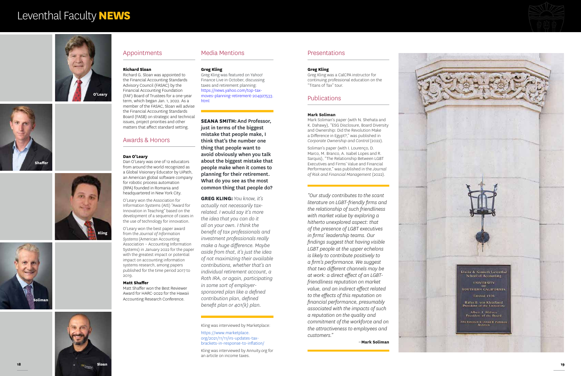



# Leventhal Faculty **NEWS**

### Appointments

#### **Richard Sloan**

Richard G. Sloan was appointed to the Financial Accounting Standards Advisory Council (FASAC) by the Financial Accounting Foundation (FAF) Board of Trustees for a one-year term, which began Jan. 1, 2022. As a member of the FASAC, Sloan will advise the Financial Accounting Standards Board (FASB) on strategic and technical issues, project priorities and other matters that affect standard setting.

### Awards & Honors

### **Dan O'Leary**

Dan O'Leary was one of 12 educators from around the world recognized as a Global Visionary Educator by UiPath, an American global software company for robotic process automation (RPA) founded in Romania and headquartered in New York City.

O'Leary won the Association for Information Systems (AIS) "Award for Innovation in Teaching" based on the development of a sequence of cases in the use of technology for innovation.

O'Leary won the best paper award from the *Journal of Information Systems* (American Accounting Association – Accounting Information Systems) in January 2022 for the paper with the greatest impact or potential impact on accounting information systems research, among papers published for the time period 2017 to 2019.

#### **Matt Shaffer**

Matt Shaffer won the Best Reviewer Award for HARC-2022 for the Hawaii Accounting Research Conference.

### Media Mentions

**Greg Kling**

Greg Kling was featured on Yahoo! Finance Live in October, discussing taxes and retirement planning: https://news.yahoo.com/top-taxmoves-planning-retirement-204927533. html

### **SEANA SMITH:** And Professor,

just in terms of the biggest mistake that people make, I think that's the number one thing that people want to avoid obviously when you talk about the biggest mistake that people make when it comes to planning for their retirement. What do you see as the most common thing that people do?

**GREG KLING:** *You know, it's actually not necessarily taxrelated. I would say it's more the idea that you can do it all on your own. I think the benefit of tax professionals and investment professionals really make a huge difference. Maybe aside from that, it's just the idea of not maximizing their available contributions, whether that's an individual retirement account, a Roth IRA, or again, participating in some sort of employersponsored plan like a defined contribution plan, defined benefit plan or 401(k) plan.*

Kling was interviewed by Marketplace:

https://www.marketplace. org/2021/11/11/irs-updates-taxbrackets-in-response-to-inflation/

Kling was interviewed by Annuity.org for an article on income taxes.





### Presentations

#### **Greg Kling**

Greg Kling was a CalCPA instructor for continuing professional education on the "Titans of Tax" tour.

### **Publications**

### **Mark Soliman**

Mark Soliman's paper (with N. Shehata and K. Dahawy), "ESG Disclosure, Board Diversity and Ownership: Did the Revolution Make a Difference in Egypt?," was published in *Corporate Ownership and Control* (2022).

Soliman's paper (with I. Lourenço, D. Marco, M. Branco, A. Isabel Lopes and R. Sarquis), "The Relationship Between LGBT Executives and Firms' Value and Financial Performance," was published in the *Journal of Risk and Financial Management* (2022).



*"Our study contributes to the scant literature on LGBT-friendly firms and the relationship of such friendliness with market value by exploring a hitherto unexplored aspect: that of the presence of LGBT executives in firms' leadership teams. Our findings suggest that having visible LGBT people at the upper echelons is likely to contribute positively to a firm's performance. We suggest that two different channels may be at work: a direct effect of an LGBTfriendliness reputation on market value, and an indirect effect related to the effects of this reputation on financial performance, presumably associated with the impacts of such a reputation on the quality and commitment of the workforce and on the attractiveness to employees and customers."* 

*–***Mark Soliman**





OF<br>SOUTHERN CALIFORNIA Erected 1926

Rufus B. von KleinSmid<br>President of the University

Albert J. Wallace<br>President of the Board

folin Parkinson & Domiti B. Parkinson